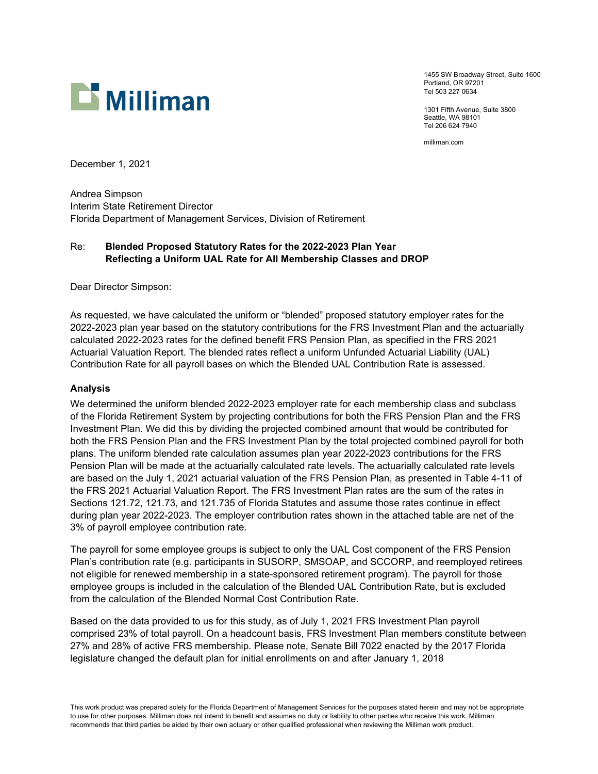

1455 SW Broadway Street, Suite 1600 Portland, OR 97201 Tel 503 227 0634

1301 Fifth Avenue, Suite 3800 Seattle, WA 98101 Tel 206 624 7940

milliman.com

December 1, 2021

Andrea Simpson Interim State Retirement Director Florida Department of Management Services, Division of Retirement

# Re: Blended Proposed Statutory Rates for the 2022-2023 Plan Year Reflecting a Uniform UAL Rate for All Membership Classes and DROP

Dear Director Simpson:

As requested, we have calculated the uniform or "blended" proposed statutory employer rates for the 2022-2023 plan year based on the statutory contributions for the FRS Investment Plan and the actuarially calculated 2022-2023 rates for the defined benefit FRS Pension Plan, as specified in the FRS 2021 Actuarial Valuation Report. The blended rates reflect a uniform Unfunded Actuarial Liability (UAL) Contribution Rate for all payroll bases on which the Blended UAL Contribution Rate is assessed.

### Analysis

We determined the uniform blended 2022-2023 employer rate for each membership class and subclass of the Florida Retirement System by projecting contributions for both the FRS Pension Plan and the FRS Investment Plan. We did this by dividing the projected combined amount that would be contributed for both the FRS Pension Plan and the FRS Investment Plan by the total projected combined payroll for both plans. The uniform blended rate calculation assumes plan year 2022-2023 contributions for the FRS Pension Plan will be made at the actuarially calculated rate levels. The actuarially calculated rate levels are based on the July 1, 2021 actuarial valuation of the FRS Pension Plan, as presented in Table 4-11 of the FRS 2021 Actuarial Valuation Report. The FRS Investment Plan rates are the sum of the rates in Sections 121.72, 121.73, and 121.735 of Florida Statutes and assume those rates continue in effect during plan year 2022-2023. The employer contribution rates shown in the attached table are net of the 3% of payroll employee contribution rate.

The payroll for some employee groups is subject to only the UAL Cost component of the FRS Pension Plan's contribution rate (e.g. participants in SUSORP, SMSOAP, and SCCORP, and reemployed retirees not eligible for renewed membership in a state-sponsored retirement program). The payroll for those employee groups is included in the calculation of the Blended UAL Contribution Rate, but is excluded from the calculation of the Blended Normal Cost Contribution Rate.

Based on the data provided to us for this study, as of July 1, 2021 FRS Investment Plan payroll comprised 23% of total payroll. On a headcount basis, FRS Investment Plan members constitute between 27% and 28% of active FRS membership. Please note, Senate Bill 7022 enacted by the 2017 Florida legislature changed the default plan for initial enrollments on and after January 1, 2018

This work product was prepared solely for the Florida Department of Management Services for the purposes stated herein and may not be appropriate to use for other purposes. Milliman does not intend to benefit and assumes no duty or liability to other parties who receive this work. Milliman recommends that third parties be aided by their own actuary or other qualified professional when reviewing the Milliman work product.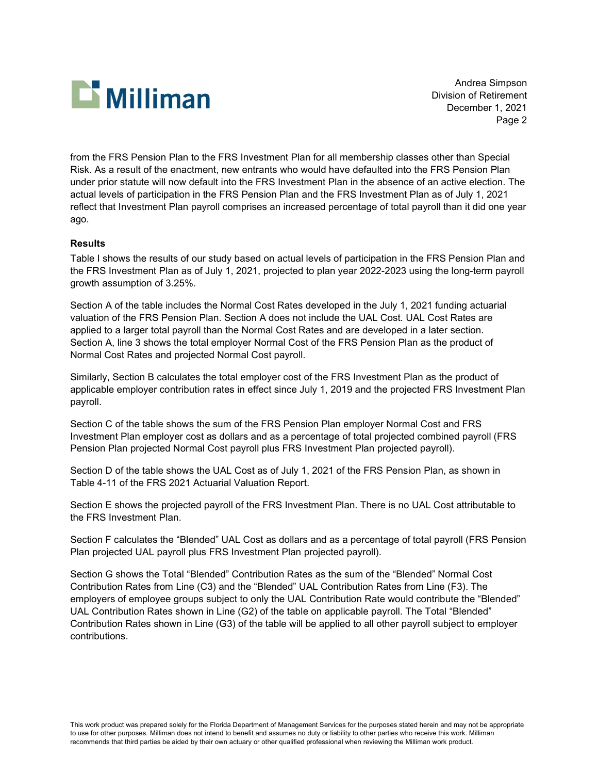

Andrea Simpson Division of Retirement December 1, 2021 Page 2

from the FRS Pension Plan to the FRS Investment Plan for all membership classes other than Special Risk. As a result of the enactment, new entrants who would have defaulted into the FRS Pension Plan under prior statute will now default into the FRS Investment Plan in the absence of an active election. The actual levels of participation in the FRS Pension Plan and the FRS Investment Plan as of July 1, 2021 reflect that Investment Plan payroll comprises an increased percentage of total payroll than it did one year ago.

### Results

Table I shows the results of our study based on actual levels of participation in the FRS Pension Plan and the FRS Investment Plan as of July 1, 2021, projected to plan year 2022-2023 using the long-term payroll growth assumption of 3.25%.

Section A of the table includes the Normal Cost Rates developed in the July 1, 2021 funding actuarial valuation of the FRS Pension Plan. Section A does not include the UAL Cost. UAL Cost Rates are applied to a larger total payroll than the Normal Cost Rates and are developed in a later section. Section A, line 3 shows the total employer Normal Cost of the FRS Pension Plan as the product of Normal Cost Rates and projected Normal Cost payroll.

Similarly, Section B calculates the total employer cost of the FRS Investment Plan as the product of applicable employer contribution rates in effect since July 1, 2019 and the projected FRS Investment Plan payroll.

Section C of the table shows the sum of the FRS Pension Plan employer Normal Cost and FRS Investment Plan employer cost as dollars and as a percentage of total projected combined payroll (FRS Pension Plan projected Normal Cost payroll plus FRS Investment Plan projected payroll).

Section D of the table shows the UAL Cost as of July 1, 2021 of the FRS Pension Plan, as shown in Table 4-11 of the FRS 2021 Actuarial Valuation Report.

Section E shows the projected payroll of the FRS Investment Plan. There is no UAL Cost attributable to the FRS Investment Plan.

Section F calculates the "Blended" UAL Cost as dollars and as a percentage of total payroll (FRS Pension Plan projected UAL payroll plus FRS Investment Plan projected payroll).

Section G shows the Total "Blended" Contribution Rates as the sum of the "Blended" Normal Cost Contribution Rates from Line (C3) and the "Blended" UAL Contribution Rates from Line (F3). The employers of employee groups subject to only the UAL Contribution Rate would contribute the "Blended" UAL Contribution Rates shown in Line (G2) of the table on applicable payroll. The Total "Blended" Contribution Rates shown in Line (G3) of the table will be applied to all other payroll subject to employer contributions.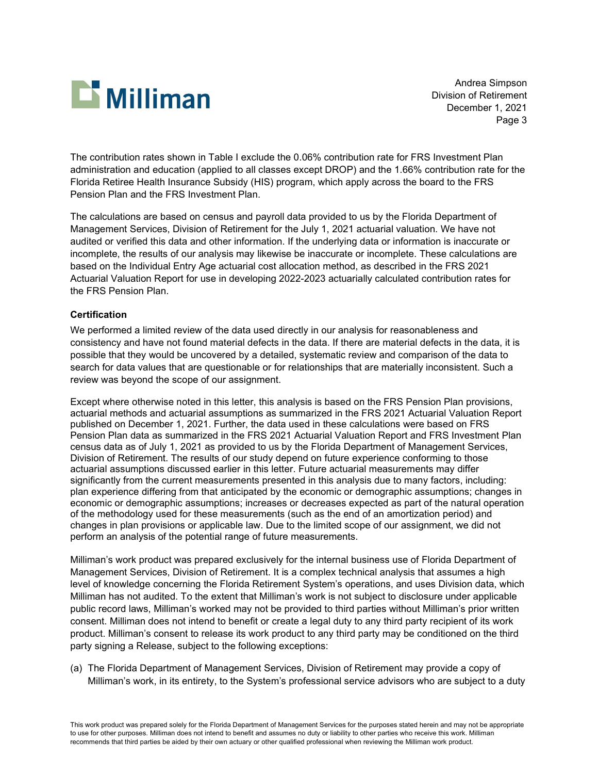

Andrea Simpson Division of Retirement December 1, 2021 Page 3

The contribution rates shown in Table I exclude the 0.06% contribution rate for FRS Investment Plan administration and education (applied to all classes except DROP) and the 1.66% contribution rate for the Florida Retiree Health Insurance Subsidy (HIS) program, which apply across the board to the FRS Pension Plan and the FRS Investment Plan.

The calculations are based on census and payroll data provided to us by the Florida Department of Management Services, Division of Retirement for the July 1, 2021 actuarial valuation. We have not audited or verified this data and other information. If the underlying data or information is inaccurate or incomplete, the results of our analysis may likewise be inaccurate or incomplete. These calculations are based on the Individual Entry Age actuarial cost allocation method, as described in the FRS 2021 Actuarial Valuation Report for use in developing 2022-2023 actuarially calculated contribution rates for the FRS Pension Plan.

## **Certification**

We performed a limited review of the data used directly in our analysis for reasonableness and consistency and have not found material defects in the data. If there are material defects in the data, it is possible that they would be uncovered by a detailed, systematic review and comparison of the data to search for data values that are questionable or for relationships that are materially inconsistent. Such a review was beyond the scope of our assignment.

Except where otherwise noted in this letter, this analysis is based on the FRS Pension Plan provisions, actuarial methods and actuarial assumptions as summarized in the FRS 2021 Actuarial Valuation Report published on December 1, 2021. Further, the data used in these calculations were based on FRS Pension Plan data as summarized in the FRS 2021 Actuarial Valuation Report and FRS Investment Plan census data as of July 1, 2021 as provided to us by the Florida Department of Management Services, Division of Retirement. The results of our study depend on future experience conforming to those actuarial assumptions discussed earlier in this letter. Future actuarial measurements may differ significantly from the current measurements presented in this analysis due to many factors, including: plan experience differing from that anticipated by the economic or demographic assumptions; changes in economic or demographic assumptions; increases or decreases expected as part of the natural operation of the methodology used for these measurements (such as the end of an amortization period) and changes in plan provisions or applicable law. Due to the limited scope of our assignment, we did not perform an analysis of the potential range of future measurements.

Milliman's work product was prepared exclusively for the internal business use of Florida Department of Management Services, Division of Retirement. It is a complex technical analysis that assumes a high level of knowledge concerning the Florida Retirement System's operations, and uses Division data, which Milliman has not audited. To the extent that Milliman's work is not subject to disclosure under applicable public record laws, Milliman's worked may not be provided to third parties without Milliman's prior written consent. Milliman does not intend to benefit or create a legal duty to any third party recipient of its work product. Milliman's consent to release its work product to any third party may be conditioned on the third party signing a Release, subject to the following exceptions:

(a) The Florida Department of Management Services, Division of Retirement may provide a copy of Milliman's work, in its entirety, to the System's professional service advisors who are subject to a duty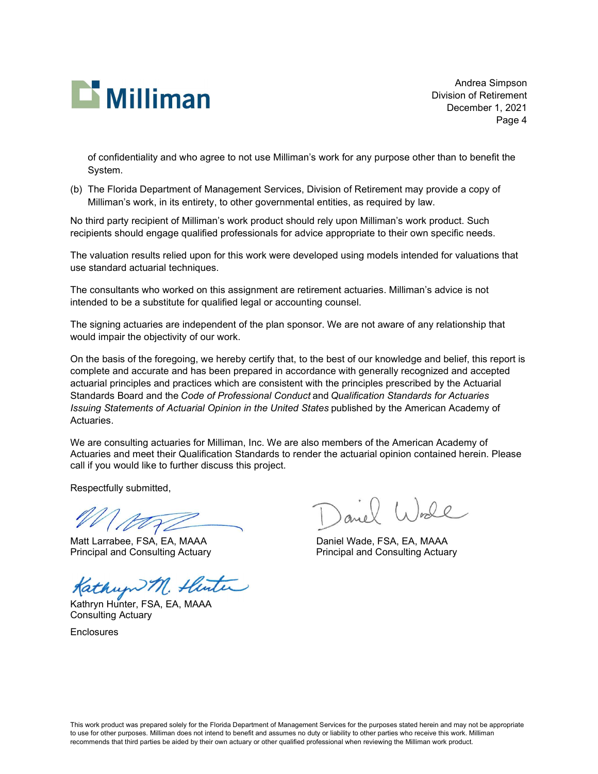

Andrea Simpson Division of Retirement December 1, 2021 Page 4

of confidentiality and who agree to not use Milliman's work for any purpose other than to benefit the System.

(b) The Florida Department of Management Services, Division of Retirement may provide a copy of Milliman's work, in its entirety, to other governmental entities, as required by law.

No third party recipient of Milliman's work product should rely upon Milliman's work product. Such recipients should engage qualified professionals for advice appropriate to their own specific needs.

The valuation results relied upon for this work were developed using models intended for valuations that use standard actuarial techniques.

The consultants who worked on this assignment are retirement actuaries. Milliman's advice is not intended to be a substitute for qualified legal or accounting counsel.

The signing actuaries are independent of the plan sponsor. We are not aware of any relationship that would impair the objectivity of our work.

On the basis of the foregoing, we hereby certify that, to the best of our knowledge and belief, this report is complete and accurate and has been prepared in accordance with generally recognized and accepted actuarial principles and practices which are consistent with the principles prescribed by the Actuarial Standards Board and the Code of Professional Conduct and Qualification Standards for Actuaries Issuing Statements of Actuarial Opinion in the United States published by the American Academy of Actuaries.

We are consulting actuaries for Milliman, Inc. We are also members of the American Academy of Actuaries and meet their Qualification Standards to render the actuarial opinion contained herein. Please call if you would like to further discuss this project.

Respectfully submitted,

Mor

Matt Larrabee, FSA, EA, MAAA Daniel Wade, FSA, EA, MAAA

Kathup M. Hunter

Consulting Actuary

**Enclosures** 

and World

Principal and Consulting Actuary Principal and Consulting Actuary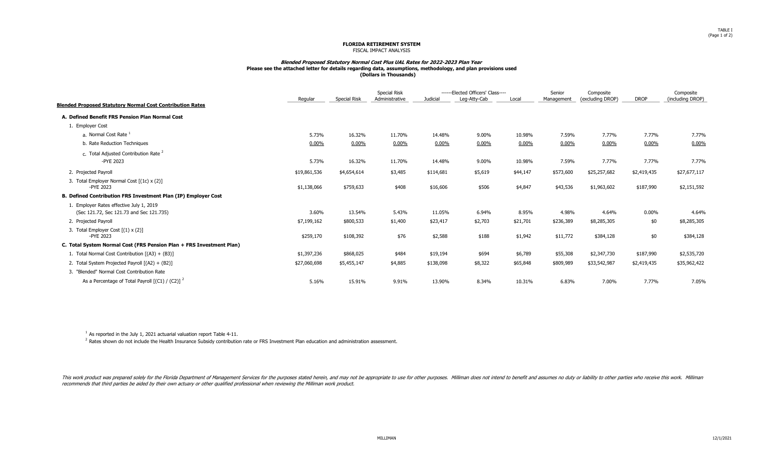#### FLORIDA RETIREMENT SYSTEM FISCAL IMPACT ANALYSIS

#### Blended Proposed Statutory Normal Cost Plus UAL Rates for 2022-2023 Plan Year Please see the attached letter for details regarding data, assumptions, methodology, and plan provisions used (Dollars in Thousands)

|                                                                                      | Regular      | Special Risk | <b>Special Risk</b><br>Administrative | ------Elected Officers' Class----<br>Leg-Atty-Cab<br>Judicial |         | Local    | Senior<br>Management | Composite<br>(excluding DROP) | <b>DROP</b> | Composite<br>(including DROP) |
|--------------------------------------------------------------------------------------|--------------|--------------|---------------------------------------|---------------------------------------------------------------|---------|----------|----------------------|-------------------------------|-------------|-------------------------------|
| <b>Blended Proposed Statutory Normal Cost Contribution Rates</b>                     |              |              |                                       |                                                               |         |          |                      |                               |             |                               |
| A. Defined Benefit FRS Pension Plan Normal Cost                                      |              |              |                                       |                                                               |         |          |                      |                               |             |                               |
| 1. Employer Cost                                                                     |              |              |                                       |                                                               |         |          |                      |                               |             |                               |
| a. Normal Cost Rate                                                                  | 5.73%        | 16.32%       | 11.70%                                | 14.48%                                                        | 9.00%   | 10.98%   | 7.59%                | 7.77%                         | 7.77%       | 7.77%                         |
| b. Rate Reduction Techniques                                                         | $0.00\%$     | $0.00\%$     | 0.00%                                 | $0.00\%$                                                      | 0.00%   | $0.00\%$ | $0.00\%$             | $0.00\%$                      | $0.00\%$    | 0.00%                         |
| c. Total Adjusted Contribution Rate 2                                                |              |              |                                       |                                                               |         |          |                      |                               |             |                               |
| -PYE 2023                                                                            | 5.73%        | 16.32%       | 11.70%                                | 14.48%                                                        | 9.00%   | 10.98%   | 7.59%                | 7.77%                         | 7.77%       | 7.77%                         |
| 2. Projected Payroll                                                                 | \$19,861,536 | \$4,654,614  | \$3,485                               | \$114,681                                                     | \$5,619 | \$44,147 | \$573,600            | \$25,257,682                  | \$2,419,435 | \$27,677,117                  |
| 3. Total Employer Normal Cost [(1c) x (2)]<br>-PYE 2023                              | \$1,138,066  | \$759,633    | \$408                                 | \$16,606                                                      | \$506   | \$4,847  | \$43,536             | \$1,963,602                   | \$187,990   | \$2,151,592                   |
| B. Defined Contribution FRS Investment Plan (IP) Employer Cost                       |              |              |                                       |                                                               |         |          |                      |                               |             |                               |
| 1. Employer Rates effective July 1, 2019<br>(Sec 121.72, Sec 121.73 and Sec 121.735) | 3.60%        | 13.54%       | 5.43%                                 | 11.05%                                                        | 6.94%   | 8.95%    | 4.98%                | 4.64%                         | $0.00\%$    | 4.64%                         |
| 2. Projected Payroll                                                                 | \$7,199,162  | \$800,533    | \$1,400                               | \$23,417                                                      | \$2,703 | \$21,701 | \$236,389            | \$8,285,305                   | \$0         | \$8,285,305                   |
| 3. Total Employer Cost $[(1) \times (2)]$<br>-PYE 2023                               | \$259,170    | \$108,392    | \$76                                  | \$2,588                                                       | \$188   | \$1,942  | \$11,772             | \$384,128                     | \$0         | \$384,128                     |
| C. Total System Normal Cost (FRS Pension Plan + FRS Investment Plan)                 |              |              |                                       |                                                               |         |          |                      |                               |             |                               |
| 1. Total Normal Cost Contribution [(A3) + (B3)]                                      | \$1,397,236  | \$868,025    | \$484                                 | \$19,194                                                      | \$694   | \$6,789  | \$55,308             | \$2,347,730                   | \$187,990   | \$2,535,720                   |
| 2. Total System Projected Payroll [(A2) + (B2)]                                      | \$27,060,698 | \$5,455,147  | \$4,885                               | \$138,098                                                     | \$8,322 | \$65,848 | \$809,989            | \$33,542,987                  | \$2,419,435 | \$35,962,422                  |
| 3. "Blended" Normal Cost Contribution Rate                                           |              |              |                                       |                                                               |         |          |                      |                               |             |                               |
| As a Percentage of Total Payroll $[(C1) / (C2)]^2$                                   | 5.16%        | 15.91%       | 9.91%                                 | 13.90%                                                        | 8.34%   | 10.31%   | 6.83%                | 7.00%                         | 7.77%       | 7.05%                         |

 $1$  As reported in the July 1, 2021 actuarial valuation report Table 4-11.

 $<sup>2</sup>$  Rates shown do not include the Health Insurance Subsidy contribution rate or FRS Investment Plan education and administration assessment.</sup>

This work product was prepared solely for the Florida Department of Management Services for the purposes stated herein, and may not be appropriate to use for other purposes. Milliman does not intend to benefit and assumes recommends that third parties be aided by their own actuary or other qualified professional when reviewing the Milliman work product.